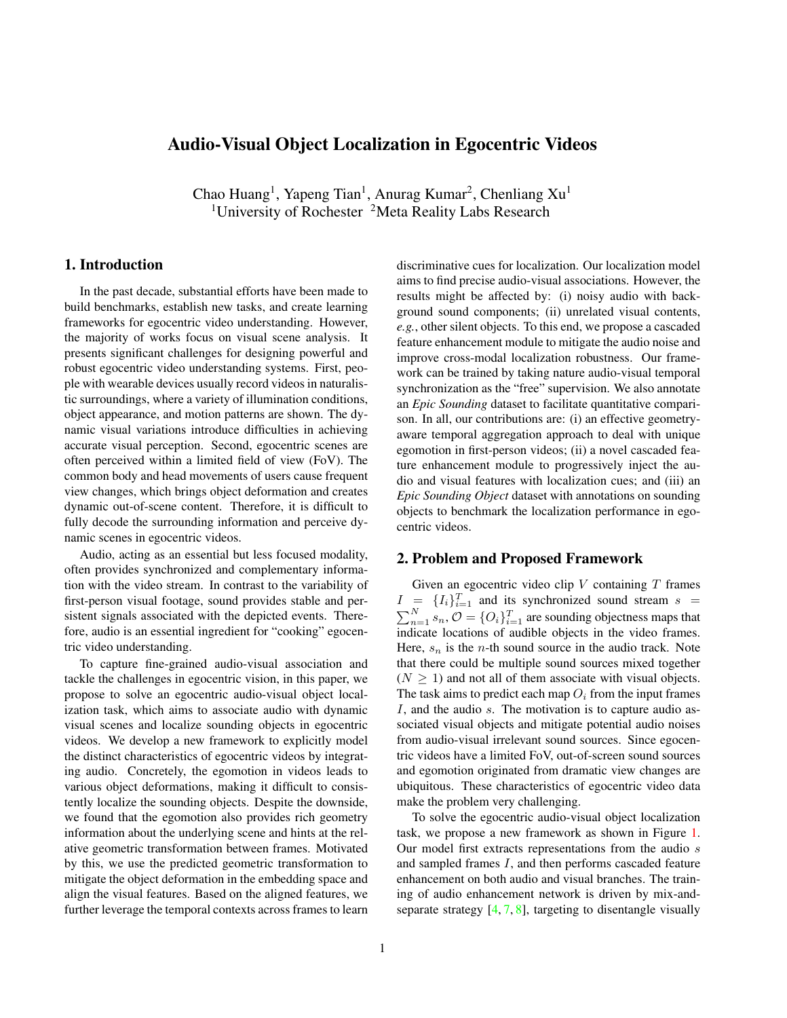# Audio-Visual Object Localization in Egocentric Videos

Chao Huang<sup>1</sup>, Yapeng Tian<sup>1</sup>, Anurag Kumar<sup>2</sup>, Chenliang Xu<sup>1</sup> <sup>1</sup>University of Rochester <sup>2</sup>Meta Reality Labs Research

## 1. Introduction

In the past decade, substantial efforts have been made to build benchmarks, establish new tasks, and create learning frameworks for egocentric video understanding. However, the majority of works focus on visual scene analysis. It presents significant challenges for designing powerful and robust egocentric video understanding systems. First, people with wearable devices usually record videos in naturalistic surroundings, where a variety of illumination conditions, object appearance, and motion patterns are shown. The dynamic visual variations introduce difficulties in achieving accurate visual perception. Second, egocentric scenes are often perceived within a limited field of view (FoV). The common body and head movements of users cause frequent view changes, which brings object deformation and creates dynamic out-of-scene content. Therefore, it is difficult to fully decode the surrounding information and perceive dynamic scenes in egocentric videos.

Audio, acting as an essential but less focused modality, often provides synchronized and complementary information with the video stream. In contrast to the variability of first-person visual footage, sound provides stable and persistent signals associated with the depicted events. Therefore, audio is an essential ingredient for "cooking" egocentric video understanding.

To capture fine-grained audio-visual association and tackle the challenges in egocentric vision, in this paper, we propose to solve an egocentric audio-visual object localization task, which aims to associate audio with dynamic visual scenes and localize sounding objects in egocentric videos. We develop a new framework to explicitly model the distinct characteristics of egocentric videos by integrating audio. Concretely, the egomotion in videos leads to various object deformations, making it difficult to consistently localize the sounding objects. Despite the downside, we found that the egomotion also provides rich geometry information about the underlying scene and hints at the relative geometric transformation between frames. Motivated by this, we use the predicted geometric transformation to mitigate the object deformation in the embedding space and align the visual features. Based on the aligned features, we further leverage the temporal contexts across frames to learn

discriminative cues for localization. Our localization model aims to find precise audio-visual associations. However, the results might be affected by: (i) noisy audio with background sound components; (ii) unrelated visual contents, *e.g.*, other silent objects. To this end, we propose a cascaded feature enhancement module to mitigate the audio noise and improve cross-modal localization robustness. Our framework can be trained by taking nature audio-visual temporal synchronization as the "free" supervision. We also annotate an *Epic Sounding* dataset to facilitate quantitative comparison. In all, our contributions are: (i) an effective geometryaware temporal aggregation approach to deal with unique egomotion in first-person videos; (ii) a novel cascaded feature enhancement module to progressively inject the audio and visual features with localization cues; and (iii) an *Epic Sounding Object* dataset with annotations on sounding objects to benchmark the localization performance in egocentric videos.

## 2. Problem and Proposed Framework

Given an egocentric video clip  $V$  containing  $T$  frames  $I = \{I_i\}_{i=1}^T$  and its synchronized sound stream  $s =$  $\sum_{n=1}^{N} s_n$ ,  $\mathcal{O} = \{O_i\}_{i=1}^{T}$  are sounding objectness maps that indicate locations of audible objects in the video frames. Here,  $s_n$  is the *n*-th sound source in the audio track. Note that there could be multiple sound sources mixed together  $(N \geq 1)$  and not all of them associate with visual objects. The task aims to predict each map  $O_i$  from the input frames I, and the audio s. The motivation is to capture audio associated visual objects and mitigate potential audio noises from audio-visual irrelevant sound sources. Since egocentric videos have a limited FoV, out-of-screen sound sources and egomotion originated from dramatic view changes are ubiquitous. These characteristics of egocentric video data make the problem very challenging.

To solve the egocentric audio-visual object localization task, we propose a new framework as shown in Figure [1.](#page-1-0) Our model first extracts representations from the audio s and sampled frames I, and then performs cascaded feature enhancement on both audio and visual branches. The training of audio enhancement network is driven by mix-andseparate strategy  $[4, 7, 8]$  $[4, 7, 8]$  $[4, 7, 8]$  $[4, 7, 8]$  $[4, 7, 8]$ , targeting to disentangle visually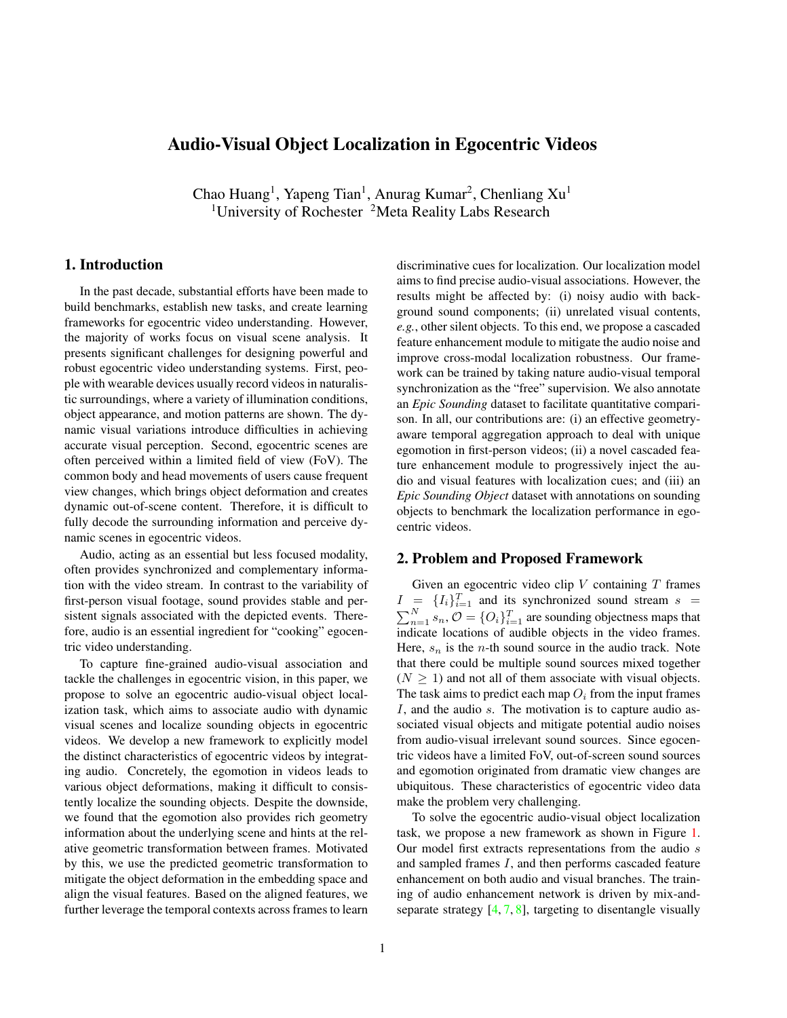<span id="page-1-0"></span>

Figure 1. An overview of our egocentric audio-visual object localization framework. In the beginning, our model extracts deep features from the video and audio streams. Then the audio and visual features are fed into the cascaded feature enhancement module to inject localization cues for both branches. Such module is additionally trained with "mix-and-separation" strategy. Next, our geometric-aware temporal modeling block leverages the relative geometric information between visual frames and performs alignment based temporal context aggregation to get the final visual features for localization.

indicated sound sources. Benefiting from the enhanced audio features, the sounding-irrelevant visual features can be reweighted by means of audio-guided cross-modal attention. To deal with the egomotion in egocentric videos, our model estimates the homography transformation between the frames, and then apply it to align frame-level features and aggregate temporal contexts. During training, we take the audio-visual temporal synchronization as the supervision signal and use audio-guided cross-modal attention to learn the map  $O_i$ . The network can be optimized in terms of computed maps from sampled positive and negative audiovisual pairs with Contrastive Learning. To further leverage the temporal contexts in  $I$ , we solve the training in a Multiple Instance Learning (MIL) setting.

## 2.1. Feature extraction

**Visual representations.** As shown in Figure [1,](#page-1-0) we first use a shared visual encoder network  $E<sub>v</sub>$  to extract visual feature maps for each input frame  $I_i$ . We adopt a pre-trained Dilated ResNet model and remove the final fully-connected layers. We can subsequently obtain a group of feature maps  $v = \{v_i\}_{i=1}^T$ , where  $v_i \in \mathbb{R}^{c-h_v-w_v}$ . Here c is the number of channels and  $h_v \times w_v$  denotes the spatial content.

Audio representations. To extract audio representations from raw waveform, we first transform audio stream s into a magnitude spectrogram  $X$  with the short-time Fourier transform (STFT). Then, we can compute audio features by means of CNN encoder  $E_a$  in the Time-Frequency (T-F) space. The resultant audio features  $a = E_a(s)$ ,  $a \in$  $\mathbb{R}^{c}$   $\bar{h}_a$   $w_a$ . *c* is set as 512 in our experiment.

### 2.2. Cascaded feature enhancement

In practice, there could be sound sources,  $s_n$ , which are out-of-screen in egocentric videos due to the limited FoV. For instance, *frying sound* and *human speech* may simultaneously be captured, while only the visual object of frying sound is presented in the scene. In this case, these additional sound sources are essentially noise and can corrupt subsequent audio representations. We propose to mitigate these acoustic noises by disentangling visually guided audio representations from the input audio.

Audio feature enhancement. Our goal here is to separate the noisy components from the audio features. However, the final localization objective cannot provide direct supervision to guide the disentanglement. Inspired by the audiovisual source separation works  $[4, 7, 8]$  $[4, 7, 8]$  $[4, 7, 8]$  $[4, 7, 8]$  $[4, 7, 8]$ , we adopt the commonly used "mix-and-separate" idea to provide additional disentanglement supervision.

Given the current audio as  $s^{(1)}$ , we randomly sample another audio stream  $s^{(2)}$  from a different video and mix them together to obtain an input audio signal  $s = s^{(1)} + s^{(2)}$ . We can then obtain a mixed spectrogram  $X$  and the other two original magnitude spectrograms  $X^{(1)}$  and  $X^{(2)}$ , respectively. We define the audio feature enhancement as a function  $f(\cdot, \cdot; \theta_1)$ , which takes the mixed spectrogram X and visual feature vector as input. The output audio feature of f should be disentangled from audio noise. In the module, we apply spatial average pooling and temporal max pooling on visual feature maps v to obtain a visual feature vector  $g_v \in$  $\mathbb{R}^c$ . Then we replicate this feature vector  $h_a \times w_a$  times and tile them to match the shape of audio features. Lastly, the audio feature enhancement is presented as  $\hat{a} = f(a, g_v; \theta_1)$ . In practice, we implement the disentanglement network  $f$  as